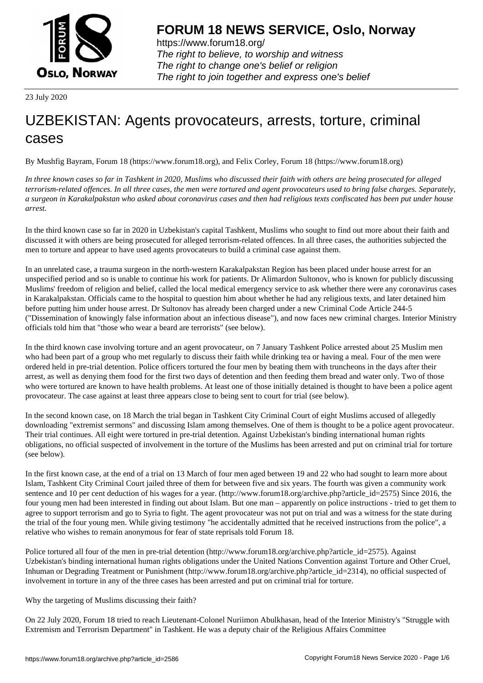

https://www.forum18.org/ The right to believe, to worship and witness The right to change one's belief or religion [The right to join together a](https://www.forum18.org/)nd express one's belief

23 July 2020

## [UZBEKISTAN:](https://www.forum18.org) Agents provocateurs, arrests, torture, criminal cases

By Mushfig Bayram, Forum 18 (https://www.forum18.org), and Felix Corley, Forum 18 (https://www.forum18.org)

*In three known cases so far in Tashkent in 2020, Muslims who discussed their faith with others are being prosecuted for alleged terrorism-related offences. In all three cases, the men were tortured and agent provocateurs used to bring false charges. Separately, a surgeon in Karakalpakstan who asked about coronavirus cases and then had religious texts confiscated has been put under house arrest.*

In the third known case so far in 2020 in Uzbekistan's capital Tashkent, Muslims who sought to find out more about their faith and discussed it with others are being prosecuted for alleged terrorism-related offences. In all three cases, the authorities subjected the men to torture and appear to have used agents provocateurs to build a criminal case against them.

In an unrelated case, a trauma surgeon in the north-western Karakalpakstan Region has been placed under house arrest for an unspecified period and so is unable to continue his work for patients. Dr Alimardon Sultonov, who is known for publicly discussing Muslims' freedom of religion and belief, called the local medical emergency service to ask whether there were any coronavirus cases in Karakalpakstan. Officials came to the hospital to question him about whether he had any religious texts, and later detained him before putting him under house arrest. Dr Sultonov has already been charged under a new Criminal Code Article 244-5 ("Dissemination of knowingly false information about an infectious disease"), and now faces new criminal charges. Interior Ministry officials told him that "those who wear a beard are terrorists" (see below).

In the third known case involving torture and an agent provocateur, on 7 January Tashkent Police arrested about 25 Muslim men who had been part of a group who met regularly to discuss their faith while drinking tea or having a meal. Four of the men were ordered held in pre-trial detention. Police officers tortured the four men by beating them with truncheons in the days after their arrest, as well as denying them food for the first two days of detention and then feeding them bread and water only. Two of those who were tortured are known to have health problems. At least one of those initially detained is thought to have been a police agent provocateur. The case against at least three appears close to being sent to court for trial (see below).

In the second known case, on 18 March the trial began in Tashkent City Criminal Court of eight Muslims accused of allegedly downloading "extremist sermons" and discussing Islam among themselves. One of them is thought to be a police agent provocateur. Their trial continues. All eight were tortured in pre-trial detention. Against Uzbekistan's binding international human rights obligations, no official suspected of involvement in the torture of the Muslims has been arrested and put on criminal trial for torture (see below).

In the first known case, at the end of a trial on 13 March of four men aged between 19 and 22 who had sought to learn more about Islam, Tashkent City Criminal Court jailed three of them for between five and six years. The fourth was given a community work sentence and 10 per cent deduction of his wages for a year. (http://www.forum18.org/archive.php?article\_id=2575) Since 2016, the four young men had been interested in finding out about Islam. But one man – apparently on police instructions - tried to get them to agree to support terrorism and go to Syria to fight. The agent provocateur was not put on trial and was a witness for the state during the trial of the four young men. While giving testimony "he accidentally admitted that he received instructions from the police", a relative who wishes to remain anonymous for fear of state reprisals told Forum 18.

Police tortured all four of the men in pre-trial detention (http://www.forum18.org/archive.php?article\_id=2575). Against Uzbekistan's binding international human rights obligations under the United Nations Convention against Torture and Other Cruel, Inhuman or Degrading Treatment or Punishment (http://www.forum18.org/archive.php?article\_id=2314), no official suspected of involvement in torture in any of the three cases has been arrested and put on criminal trial for torture.

Why the targeting of Muslims discussing their faith?

On 22 July 2020, Forum 18 tried to reach Lieutenant-Colonel Nuriimon Abulkhasan, head of the Interior Ministry's "Struggle with Extremism and Terrorism Department" in Tashkent. He was a deputy chair of the Religious Affairs Committee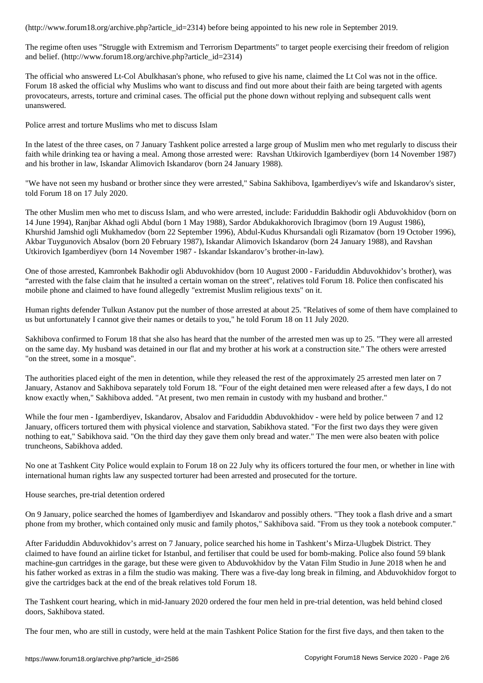The regime often uses "Struggle with Extremism and Terrorism Departments" to target people exercising their freedom of religion and belief. (http://www.forum18.org/archive.php?article\_id=2314)

The official who answered Lt-Col Abulkhasan's phone, who refused to give his name, claimed the Lt Col was not in the office. Forum 18 asked the official why Muslims who want to discuss and find out more about their faith are being targeted with agents provocateurs, arrests, torture and criminal cases. The official put the phone down without replying and subsequent calls went unanswered.

Police arrest and torture Muslims who met to discuss Islam

In the latest of the three cases, on 7 January Tashkent police arrested a large group of Muslim men who met regularly to discuss their faith while drinking tea or having a meal. Among those arrested were: Ravshan Utkirovich Igamberdiyev (born 14 November 1987) and his brother in law, Iskandar Alimovich Iskandarov (born 24 January 1988).

"We have not seen my husband or brother since they were arrested," Sabina Sakhibova, Igamberdiyev's wife and Iskandarov's sister, told Forum 18 on 17 July 2020.

The other Muslim men who met to discuss Islam, and who were arrested, include: Fariduddin Bakhodir ogli Abduvokhidov (born on 14 June 1994), Ranjbar Akhad ogli Abdul (born 1 May 1988), Sardor Abdukakhorovich Ibragimov (born 19 August 1986), Khurshid Jamshid ogli Mukhamedov (born 22 September 1996), Abdul-Kudus Khursandali ogli Rizamatov (born 19 October 1996), Akbar Tuygunovich Absalov (born 20 February 1987), Iskandar Alimovich Iskandarov (born 24 January 1988), and Ravshan Utkirovich Igamberdiyev (born 14 November 1987 - Iskandar Iskandarov's brother-in-law).

One of those arrested, Kamronbek Bakhodir ogli Abduvokhidov (born 10 August 2000 - Fariduddin Abduvokhidov's brother), was "arrested with the false claim that he insulted a certain woman on the street", relatives told Forum 18. Police then confiscated his mobile phone and claimed to have found allegedly "extremist Muslim religious texts" on it.

Human rights defender Tulkun Astanov put the number of those arrested at about 25. "Relatives of some of them have complained to us but unfortunately I cannot give their names or details to you," he told Forum 18 on 11 July 2020.

Sakhibova confirmed to Forum 18 that she also has heard that the number of the arrested men was up to 25. "They were all arrested on the same day. My husband was detained in our flat and my brother at his work at a construction site." The others were arrested "on the street, some in a mosque".

The authorities placed eight of the men in detention, while they released the rest of the approximately 25 arrested men later on 7 January, Astanov and Sakhibova separately told Forum 18. "Four of the eight detained men were released after a few days, I do not know exactly when," Sakhibova added. "At present, two men remain in custody with my husband and brother."

While the four men - Igamberdiyev, Iskandarov, Absalov and Fariduddin Abduvokhidov - were held by police between 7 and 12 January, officers tortured them with physical violence and starvation, Sabikhova stated. "For the first two days they were given nothing to eat," Sabikhova said. "On the third day they gave them only bread and water." The men were also beaten with police truncheons, Sabikhova added.

No one at Tashkent City Police would explain to Forum 18 on 22 July why its officers tortured the four men, or whether in line with international human rights law any suspected torturer had been arrested and prosecuted for the torture.

House searches, pre-trial detention ordered

On 9 January, police searched the homes of Igamberdiyev and Iskandarov and possibly others. "They took a flash drive and a smart phone from my brother, which contained only music and family photos," Sakhibova said. "From us they took a notebook computer."

After Fariduddin Abduvokhidov's arrest on 7 January, police searched his home in Tashkent's Mirza-Ulugbek District. They claimed to have found an airline ticket for Istanbul, and fertiliser that could be used for bomb-making. Police also found 59 blank machine-gun cartridges in the garage, but these were given to Abduvokhidov by the Vatan Film Studio in June 2018 when he and his father worked as extras in a film the studio was making. There was a five-day long break in filming, and Abduvokhidov forgot to give the cartridges back at the end of the break relatives told Forum 18.

The Tashkent court hearing, which in mid-January 2020 ordered the four men held in pre-trial detention, was held behind closed doors, Sakhibova stated.

The four men, who are still in custody, were held at the main Tashkent Police Station for the first five days, and then taken to the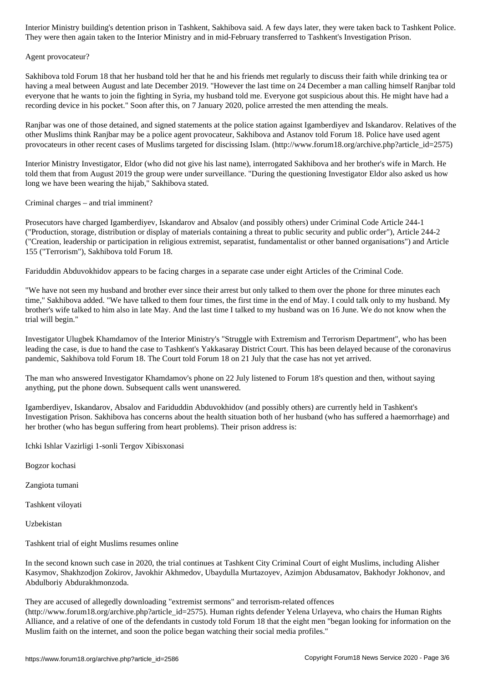They were then again taken to the Interior Ministry and in mid-February transferred to Tashkent's Investigation Prison.

## Agent provocateur?

Sakhibova told Forum 18 that her husband told her that he and his friends met regularly to discuss their faith while drinking tea or having a meal between August and late December 2019. "However the last time on 24 December a man calling himself Ranjbar told everyone that he wants to join the fighting in Syria, my husband told me. Everyone got suspicious about this. He might have had a recording device in his pocket." Soon after this, on 7 January 2020, police arrested the men attending the meals.

Ranjbar was one of those detained, and signed statements at the police station against Igamberdiyev and Iskandarov. Relatives of the other Muslims think Ranjbar may be a police agent provocateur, Sakhibova and Astanov told Forum 18. Police have used agent provocateurs in other recent cases of Muslims targeted for discissing Islam. (http://www.forum18.org/archive.php?article\_id=2575)

Interior Ministry Investigator, Eldor (who did not give his last name), interrogated Sakhibova and her brother's wife in March. He told them that from August 2019 the group were under surveillance. "During the questioning Investigator Eldor also asked us how long we have been wearing the hijab," Sakhibova stated.

Criminal charges – and trial imminent?

Prosecutors have charged Igamberdiyev, Iskandarov and Absalov (and possibly others) under Criminal Code Article 244-1 ("Production, storage, distribution or display of materials containing a threat to public security and public order"), Article 244-2 ("Creation, leadership or participation in religious extremist, separatist, fundamentalist or other banned organisations") and Article 155 ("Terrorism"), Sakhibova told Forum 18.

Fariduddin Abduvokhidov appears to be facing charges in a separate case under eight Articles of the Criminal Code.

"We have not seen my husband and brother ever since their arrest but only talked to them over the phone for three minutes each time," Sakhibova added. "We have talked to them four times, the first time in the end of May. I could talk only to my husband. My brother's wife talked to him also in late May. And the last time I talked to my husband was on 16 June. We do not know when the trial will begin."

Investigator Ulugbek Khamdamov of the Interior Ministry's "Struggle with Extremism and Terrorism Department", who has been leading the case, is due to hand the case to Tashkent's Yakkasaray District Court. This has been delayed because of the coronavirus pandemic, Sakhibova told Forum 18. The Court told Forum 18 on 21 July that the case has not yet arrived.

The man who answered Investigator Khamdamov's phone on 22 July listened to Forum 18's question and then, without saying anything, put the phone down. Subsequent calls went unanswered.

Igamberdiyev, Iskandarov, Absalov and Fariduddin Abduvokhidov (and possibly others) are currently held in Tashkent's Investigation Prison. Sakhibova has concerns about the health situation both of her husband (who has suffered a haemorrhage) and her brother (who has begun suffering from heart problems). Their prison address is:

Ichki Ishlar Vazirligi 1-sonli Tergov Xibisxonasi

Bogzor kochasi

Zangiota tumani

Tashkent viloyati

Uzbekistan

Tashkent trial of eight Muslims resumes online

In the second known such case in 2020, the trial continues at Tashkent City Criminal Court of eight Muslims, including Alisher Kasymov, Shakhzodjon Zokirov, Javokhir Akhmedov, Ubaydulla Murtazoyev, Azimjon Abdusamatov, Bakhodyr Jokhonov, and Abdulboriy Abdurakhmonzoda.

They are accused of allegedly downloading "extremist sermons" and terrorism-related offences

(http://www.forum18.org/archive.php?article\_id=2575). Human rights defender Yelena Urlayeva, who chairs the Human Rights Alliance, and a relative of one of the defendants in custody told Forum 18 that the eight men "began looking for information on the Muslim faith on the internet, and soon the police began watching their social media profiles."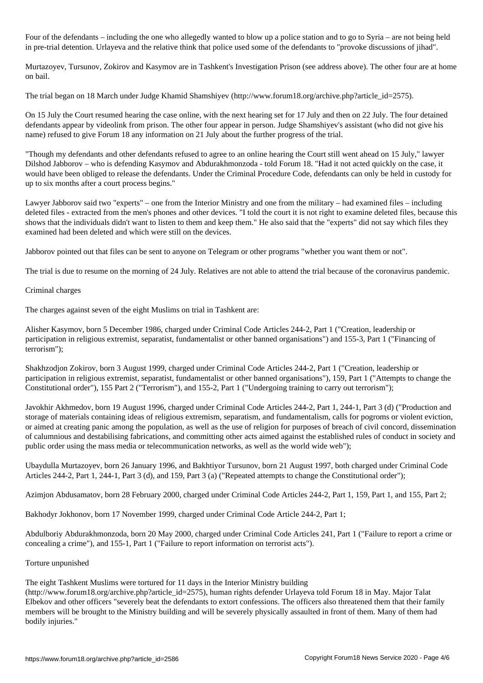Four of the defendants – including the one who allegedly wanted to blow up a police station and to go to Syria – are not being held in pre-trial detention. Urlayeva and the relative think that police used some of the defendants to "provoke discussions of jihad".

Murtazoyev, Tursunov, Zokirov and Kasymov are in Tashkent's Investigation Prison (see address above). The other four are at home on bail.

The trial began on 18 March under Judge Khamid Shamshiyev (http://www.forum18.org/archive.php?article\_id=2575).

On 15 July the Court resumed hearing the case online, with the next hearing set for 17 July and then on 22 July. The four detained defendants appear by videolink from prison. The other four appear in person. Judge Shamshiyev's assistant (who did not give his name) refused to give Forum 18 any information on 21 July about the further progress of the trial.

"Though my defendants and other defendants refused to agree to an online hearing the Court still went ahead on 15 July," lawyer Dilshod Jabborov – who is defending Kasymov and Abdurakhmonzoda - told Forum 18. "Had it not acted quickly on the case, it would have been obliged to release the defendants. Under the Criminal Procedure Code, defendants can only be held in custody for up to six months after a court process begins."

Lawyer Jabborov said two "experts" – one from the Interior Ministry and one from the military – had examined files – including deleted files - extracted from the men's phones and other devices. "I told the court it is not right to examine deleted files, because this shows that the individuals didn't want to listen to them and keep them." He also said that the "experts" did not say which files they examined had been deleted and which were still on the devices.

Jabborov pointed out that files can be sent to anyone on Telegram or other programs "whether you want them or not".

The trial is due to resume on the morning of 24 July. Relatives are not able to attend the trial because of the coronavirus pandemic.

## Criminal charges

The charges against seven of the eight Muslims on trial in Tashkent are:

Alisher Kasymov, born 5 December 1986, charged under Criminal Code Articles 244-2, Part 1 ("Creation, leadership or participation in religious extremist, separatist, fundamentalist or other banned organisations") and 155-3, Part 1 ("Financing of terrorism");

Shakhzodjon Zokirov, born 3 August 1999, charged under Criminal Code Articles 244-2, Part 1 ("Creation, leadership or participation in religious extremist, separatist, fundamentalist or other banned organisations"), 159, Part 1 ("Attempts to change the Constitutional order"), 155 Part 2 ("Terrorism"), and 155-2, Part 1 ("Undergoing training to carry out terrorism");

Javokhir Akhmedov, born 19 August 1996, charged under Criminal Code Articles 244-2, Part 1, 244-1, Part 3 (d) ("Production and storage of materials containing ideas of religious extremism, separatism, and fundamentalism, calls for pogroms or violent eviction, or aimed at creating panic among the population, as well as the use of religion for purposes of breach of civil concord, dissemination of calumnious and destabilising fabrications, and committing other acts aimed against the established rules of conduct in society and public order using the mass media or telecommunication networks, as well as the world wide web");

Ubaydulla Murtazoyev, born 26 January 1996, and Bakhtiyor Tursunov, born 21 August 1997, both charged under Criminal Code Articles 244-2, Part 1, 244-1, Part 3 (d), and 159, Part 3 (a) ("Repeated attempts to change the Constitutional order");

Azimjon Abdusamatov, born 28 February 2000, charged under Criminal Code Articles 244-2, Part 1, 159, Part 1, and 155, Part 2;

Bakhodyr Jokhonov, born 17 November 1999, charged under Criminal Code Article 244-2, Part 1;

Abdulboriy Abdurakhmonzoda, born 20 May 2000, charged under Criminal Code Articles 241, Part 1 ("Failure to report a crime or concealing a crime"), and 155-1, Part 1 ("Failure to report information on terrorist acts").

## Torture unpunished

The eight Tashkent Muslims were tortured for 11 days in the Interior Ministry building

(http://www.forum18.org/archive.php?article\_id=2575), human rights defender Urlayeva told Forum 18 in May. Major Talat Elbekov and other officers "severely beat the defendants to extort confessions. The officers also threatened them that their family members will be brought to the Ministry building and will be severely physically assaulted in front of them. Many of them had bodily injuries."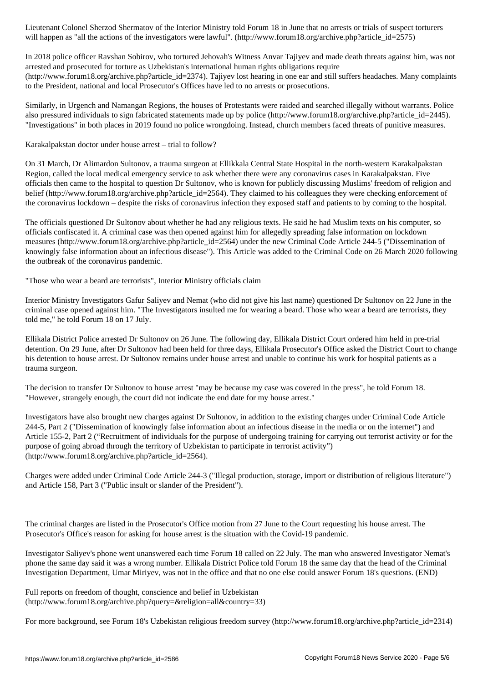will happen as the actions of the investigators were lawful  $\omega$  . (http://www.forumlar.org/archive.php?article\_id=2575)

In 2018 police officer Ravshan Sobirov, who tortured Jehovah's Witness Anvar Tajiyev and made death threats against him, was not arrested and prosecuted for torture as Uzbekistan's international human rights obligations require (http://www.forum18.org/archive.php?article\_id=2374). Tajiyev lost hearing in one ear and still suffers headaches. Many complaints to the President, national and local Prosecutor's Offices have led to no arrests or prosecutions.

Similarly, in Urgench and Namangan Regions, the houses of Protestants were raided and searched illegally without warrants. Police also pressured individuals to sign fabricated statements made up by police (http://www.forum18.org/archive.php?article\_id=2445). "Investigations" in both places in 2019 found no police wrongdoing. Instead, church members faced threats of punitive measures.

Karakalpakstan doctor under house arrest – trial to follow?

On 31 March, Dr Alimardon Sultonov, a trauma surgeon at Ellikkala Central State Hospital in the north-western Karakalpakstan Region, called the local medical emergency service to ask whether there were any coronavirus cases in Karakalpakstan. Five officials then came to the hospital to question Dr Sultonov, who is known for publicly discussing Muslims' freedom of religion and belief (http://www.forum18.org/archive.php?article\_id=2564). They claimed to his colleagues they were checking enforcement of the coronavirus lockdown – despite the risks of coronavirus infection they exposed staff and patients to by coming to the hospital.

The officials questioned Dr Sultonov about whether he had any religious texts. He said he had Muslim texts on his computer, so officials confiscated it. A criminal case was then opened against him for allegedly spreading false information on lockdown measures (http://www.forum18.org/archive.php?article\_id=2564) under the new Criminal Code Article 244-5 ("Dissemination of knowingly false information about an infectious disease"). This Article was added to the Criminal Code on 26 March 2020 following the outbreak of the coronavirus pandemic.

"Those who wear a beard are terrorists", Interior Ministry officials claim

Interior Ministry Investigators Gafur Saliyev and Nemat (who did not give his last name) questioned Dr Sultonov on 22 June in the criminal case opened against him. "The Investigators insulted me for wearing a beard. Those who wear a beard are terrorists, they told me," he told Forum 18 on 17 July.

Ellikala District Police arrested Dr Sultonov on 26 June. The following day, Ellikala District Court ordered him held in pre-trial detention. On 29 June, after Dr Sultonov had been held for three days, Ellikala Prosecutor's Office asked the District Court to change his detention to house arrest. Dr Sultonov remains under house arrest and unable to continue his work for hospital patients as a trauma surgeon.

The decision to transfer Dr Sultonov to house arrest "may be because my case was covered in the press", he told Forum 18. "However, strangely enough, the court did not indicate the end date for my house arrest."

Investigators have also brought new charges against Dr Sultonov, in addition to the existing charges under Criminal Code Article 244-5, Part 2 ("Dissemination of knowingly false information about an infectious disease in the media or on the internet") and Article 155-2, Part 2 ("Recruitment of individuals for the purpose of undergoing training for carrying out terrorist activity or for the purpose of going abroad through the territory of Uzbekistan to participate in terrorist activity") (http://www.forum18.org/archive.php?article\_id=2564).

Charges were added under Criminal Code Article 244-3 ("Illegal production, storage, import or distribution of religious literature") and Article 158, Part 3 ("Public insult or slander of the President").

The criminal charges are listed in the Prosecutor's Office motion from 27 June to the Court requesting his house arrest. The Prosecutor's Office's reason for asking for house arrest is the situation with the Covid-19 pandemic.

Investigator Saliyev's phone went unanswered each time Forum 18 called on 22 July. The man who answered Investigator Nemat's phone the same day said it was a wrong number. Ellikala District Police told Forum 18 the same day that the head of the Criminal Investigation Department, Umar Miriyev, was not in the office and that no one else could answer Forum 18's questions. (END)

Full reports on freedom of thought, conscience and belief in Uzbekistan (http://www.forum18.org/archive.php?query=&religion=all&country=33)

For more background, see Forum 18's Uzbekistan religious freedom survey (http://www.forum18.org/archive.php?article\_id=2314)